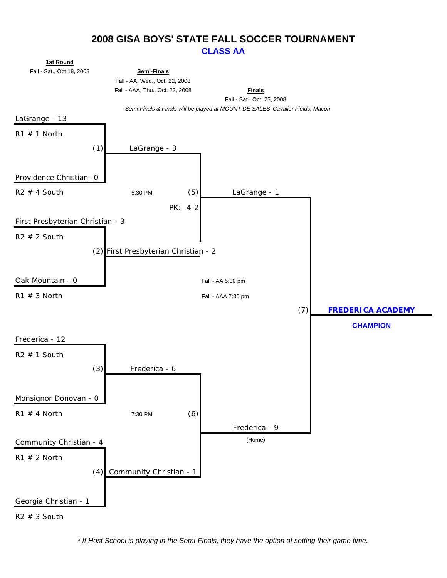## **2008 GISA BOYS' STATE FALL SOCCER TOURNAMENT CLASS AA**



*\* If Host School is playing in the Semi-Finals, they have the option of setting their game time.*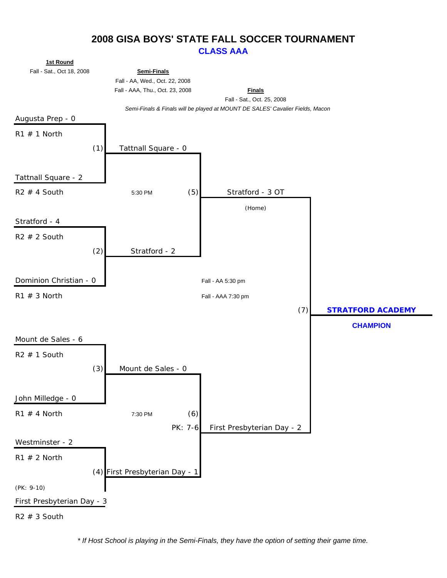## **2008 GISA BOYS' STATE FALL SOCCER TOURNAMENT CLASS AAA**



*\* If Host School is playing in the Semi-Finals, they have the option of setting their game time.*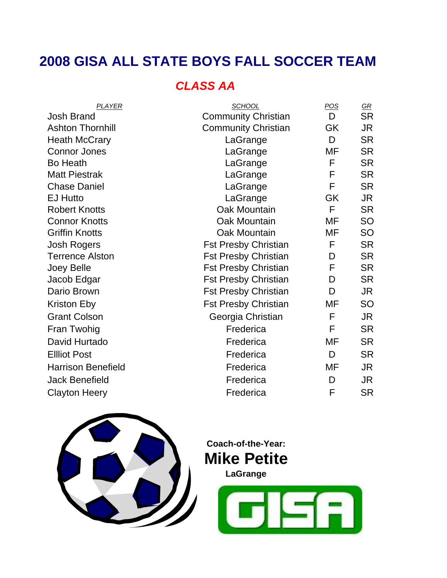# **2008 GISA ALL STATE BOYS FALL SOCCER TEAM**

# *CLASS AA*

| PLAYER                    | <b>SCHOOL</b>               | POS       | $\underline{GR}$ |
|---------------------------|-----------------------------|-----------|------------------|
| <b>Josh Brand</b>         | <b>Community Christian</b>  | D         | <b>SR</b>        |
| <b>Ashton Thornhill</b>   | <b>Community Christian</b>  | GK        | JR               |
| <b>Heath McCrary</b>      | LaGrange                    | D         | <b>SR</b>        |
| <b>Connor Jones</b>       | LaGrange                    | MF        | <b>SR</b>        |
| <b>Bo Heath</b>           | LaGrange                    | F         | <b>SR</b>        |
| <b>Matt Piestrak</b>      | LaGrange                    | F         | <b>SR</b>        |
| <b>Chase Daniel</b>       | LaGrange                    | F         | <b>SR</b>        |
| <b>EJ Hutto</b>           | LaGrange                    | <b>GK</b> | <b>JR</b>        |
| <b>Robert Knotts</b>      | Oak Mountain                | F         | <b>SR</b>        |
| <b>Connor Knotts</b>      | Oak Mountain                | MF        | <b>SO</b>        |
| <b>Griffin Knotts</b>     | <b>Oak Mountain</b>         | MF        | <b>SO</b>        |
| <b>Josh Rogers</b>        | <b>Fst Presby Christian</b> | F         | <b>SR</b>        |
| <b>Terrence Alston</b>    | <b>Fst Presby Christian</b> | D         | <b>SR</b>        |
| Joey Belle                | <b>Fst Presby Christian</b> | F         | <b>SR</b>        |
| Jacob Edgar               | <b>Fst Presby Christian</b> | D         | <b>SR</b>        |
| Dario Brown               | <b>Fst Presby Christian</b> | D         | JR               |
| <b>Kriston Eby</b>        | <b>Fst Presby Christian</b> | MF        | <b>SO</b>        |
| <b>Grant Colson</b>       | Georgia Christian           | F         | JR               |
| Fran Twohig               | Frederica                   | F         | <b>SR</b>        |
| David Hurtado             | Frederica                   | <b>MF</b> | <b>SR</b>        |
| <b>Ellliot Post</b>       | Frederica                   | D         | <b>SR</b>        |
| <b>Harrison Benefield</b> | Frederica                   | MF        | JR               |
| <b>Jack Benefield</b>     | Frederica                   | D         | <b>JR</b>        |
| Clayton Heery             | Frederica                   | F         | <b>SR</b>        |
|                           |                             |           |                  |



**Coach-of-the-Year: Mike Petite**

**LaGrange**

**JEA**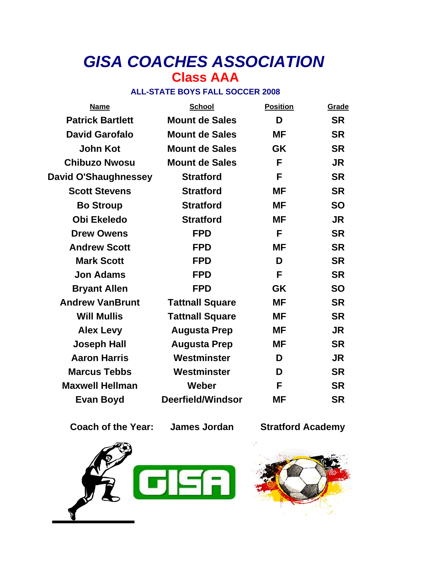# *GISA COACHES ASSOCIATION* **Class AAA**

## **ALL-STATE BOYS FALL SOCCER 2008**

| <b>Name</b>                 | <b>School</b>          | <b>Position</b> | Grade     |
|-----------------------------|------------------------|-----------------|-----------|
| <b>Patrick Bartlett</b>     | <b>Mount de Sales</b>  | D               | <b>SR</b> |
| <b>David Garofalo</b>       | <b>Mount de Sales</b>  | <b>MF</b>       | <b>SR</b> |
| <b>John Kot</b>             | <b>Mount de Sales</b>  | <b>GK</b>       | <b>SR</b> |
| <b>Chibuzo Nwosu</b>        | <b>Mount de Sales</b>  | F               | <b>JR</b> |
| <b>David O'Shaughnessey</b> | <b>Stratford</b>       | F               | <b>SR</b> |
| <b>Scott Stevens</b>        | <b>Stratford</b>       | <b>MF</b>       | <b>SR</b> |
| <b>Bo Stroup</b>            | <b>Stratford</b>       | <b>MF</b>       | <b>SO</b> |
| <b>Obi Ekeledo</b>          | <b>Stratford</b>       | <b>MF</b>       | <b>JR</b> |
| <b>Drew Owens</b>           | <b>FPD</b>             | F               | <b>SR</b> |
| <b>Andrew Scott</b>         | <b>FPD</b>             | <b>MF</b>       | <b>SR</b> |
| <b>Mark Scott</b>           | <b>FPD</b>             | D               | <b>SR</b> |
| <b>Jon Adams</b>            | <b>FPD</b>             | F               | <b>SR</b> |
| <b>Bryant Allen</b>         | <b>FPD</b>             | <b>GK</b>       | <b>SO</b> |
| <b>Andrew VanBrunt</b>      | <b>Tattnall Square</b> | <b>MF</b>       | <b>SR</b> |
| <b>Will Mullis</b>          | <b>Tattnall Square</b> | <b>MF</b>       | <b>SR</b> |
| <b>Alex Levy</b>            | <b>Augusta Prep</b>    | <b>MF</b>       | <b>JR</b> |
| <b>Joseph Hall</b>          | <b>Augusta Prep</b>    | <b>MF</b>       | <b>SR</b> |
| <b>Aaron Harris</b>         | Westminster            | D               | <b>JR</b> |
| <b>Marcus Tebbs</b>         | Westminster            | D               | <b>SR</b> |
| <b>Maxwell Hellman</b>      | Weber                  | F               | <b>SR</b> |
| <b>Evan Boyd</b>            | Deerfield/Windsor      | ΜF              | <b>SR</b> |

**Coach of the Year: James Jordan Stratford Academy**



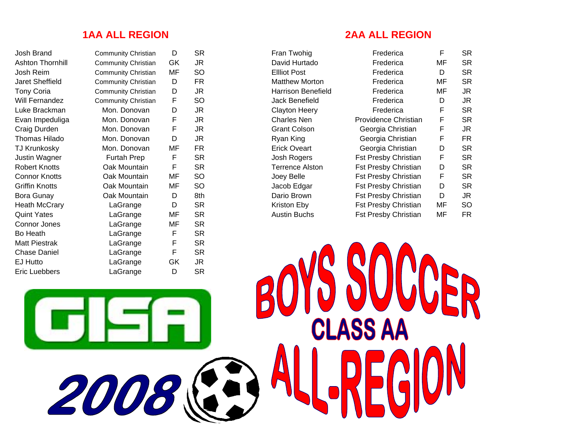2008

Josh BrandAshton ThornhillJosh ReimJaret SheffieldWill FernandezEvan Impeduliga Connor Jones Bo Heath **Matt Piestrak** Chase Daniel EJ Hutto Eric Luebbers LaGrange D SR

| <b>Community Christian</b> | D  | SR  |
|----------------------------|----|-----|
| <b>Community Christian</b> | GK | JR  |
| <b>Community Christian</b> | МF | SO  |
| <b>Community Christian</b> | D  | FR  |
| <b>Community Christian</b> | D  | JR  |
| Community Christian        | F  | SO  |
| Mon. Donovan               | D  | JR  |
| Mon. Donovan               | F  | JR  |
| Mon. Donovan               | F  | JR  |
| Mon. Donovan               | D  | JR  |
| Mon. Donovan               | ΜF | FR  |
| Furtah Prep                | F  | SR  |
| Oak Mountain               | F  | SR  |
| Oak Mountain               | ΜF | SO  |
| Oak Mountain               | ΜF | SO  |
| Oak Mountain               | D  | 8th |
| LaGrange                   | D  | SR  |
| LaGrange                   | МF | SR  |
| LaGrange                   | ΜF | SR  |
| LaGrange                   | F  | SR  |
| LaGrange                   | F  | SR  |
| LaGrange                   | F  | SR  |
| LaGrange                   | GK | JR  |
| $\overline{\phantom{a}}$   | n  | cп  |

### **1AA ALL REGION 2AA ALL REGION**

| Fran Iwonig               |
|---------------------------|
| David Hurtado             |
| <b>Ellliot Post</b>       |
| Matthew Morton            |
| <b>Harrison Benefield</b> |
| Jack Benefield            |
| <b>Clayton Heery</b>      |
| Charles Nen               |
| Grant Colson              |
| Ryan King                 |
| Erick Oveart              |
| Josh Rogers               |
| <b>Terrence Alston</b>    |
| Joey Belle                |
| Jacob Edgar               |
| Dario Brown               |
| Kriston Eby               |
| Austin Buchs              |

R

| Josh Brand           | <b>Community Christian</b> | D  | <b>SR</b> | Fran Twohig               | Frederica                   | E  | <b>SR</b> |
|----------------------|----------------------------|----|-----------|---------------------------|-----------------------------|----|-----------|
| Ashton Thornhill     | Community Christian        | GK | JR        | David Hurtado             | Frederica                   | MF | <b>SR</b> |
| Josh Reim            | Community Christian        | MF | SO        | <b>Elliot Post</b>        | Frederica                   | D  | <b>SR</b> |
| Jaret Sheffield      | <b>Community Christian</b> | D  | <b>FR</b> | <b>Matthew Morton</b>     | Frederica                   | MF | <b>SR</b> |
| <b>Tony Coria</b>    | <b>Community Christian</b> | D  | JR        | <b>Harrison Benefield</b> | Frederica                   | MF | <b>JR</b> |
| Will Fernandez       | <b>Community Christian</b> | F  | SO        | Jack Benefield            | Frederica                   | D  | <b>JR</b> |
| Luke Brackman        | Mon. Donovan               | D  | JR        | <b>Clayton Heery</b>      | Frederica                   | F  | <b>SR</b> |
| Evan Impeduliga      | Mon. Donovan               | F  | JR        | <b>Charles Nen</b>        | Providence Christian        | F  | <b>SR</b> |
| Craig Durden         | Mon. Donovan               | F  | JR        | <b>Grant Colson</b>       | Georgia Christian           | F  | <b>JR</b> |
| Thomas Hilado        | Mon. Donovan               | D  | JR        | Ryan King                 | Georgia Christian           | F  | <b>FR</b> |
| TJ Krunkosky         | Mon. Donovan               | MF | <b>FR</b> | <b>Erick Oveart</b>       | Georgia Christian           | D  | <b>SR</b> |
| Justin Wagner        | Furtah Prep                | F  | <b>SR</b> | Josh Rogers               | <b>Fst Presby Christian</b> | F  | <b>SR</b> |
| Robert Knotts        | Oak Mountain               | F  | <b>SR</b> | <b>Terrence Alston</b>    | <b>Fst Presby Christian</b> | D  | <b>SR</b> |
| Connor Knotts        | Oak Mountain               | MF | SO        | Joey Belle                | <b>Fst Presby Christian</b> | F. | <b>SR</b> |
| Griffin Knotts       | Oak Mountain               | MF | SO        | Jacob Edgar               | <b>Fst Presby Christian</b> | D  | <b>SR</b> |
| Bora Gunay           | Oak Mountain               | D  | 8th       | Dario Brown               | <b>Fst Presby Christian</b> | D  | <b>JR</b> |
| <b>Heath McCrary</b> | LaGrange                   | D  | <b>SR</b> | Kriston Eby               | <b>Fst Presby Christian</b> | MF | <b>SO</b> |
| Quint Yates          | LaGrange                   | MF | <b>SR</b> | <b>Austin Buchs</b>       | <b>Fst Presby Christian</b> | MF | <b>FR</b> |
|                      |                            |    |           |                           |                             |    |           |

 $\overline{a}$ 

**CLASS AA**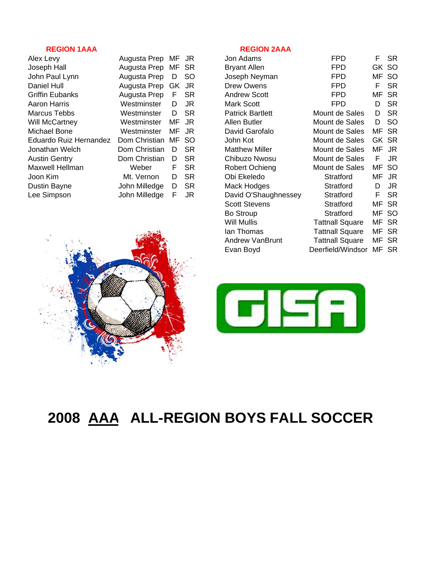### **REGION 1AAA REGION 2AAA**

| Alex Levy              | Augusta Prep MF JR |       |           | Jon Adams               | <b>FPD</b>     | F.    | <b>SR</b> |
|------------------------|--------------------|-------|-----------|-------------------------|----------------|-------|-----------|
| Joseph Hall            | Augusta Prep MF SR |       |           | <b>Bryant Allen</b>     | <b>FPD</b>     | GK SO |           |
| John Paul Lynn         | Augusta Prep       | D     | -SO       | Joseph Neyman           | <b>FPD</b>     | MF SO |           |
| Daniel Hull            | Augusta Prep GK JR |       |           | Drew Owens              | <b>FPD</b>     |       | <b>SR</b> |
| Griffin Eubanks        | Augusta Prep       | F     | <b>SR</b> | <b>Andrew Scott</b>     | <b>FPD</b>     | MF SR |           |
| Aaron Harris           | Westminster        | D     | JR        | Mark Scott              | <b>FPD</b>     | D     | -SR       |
| Marcus Tebbs           | Westminster        | D.    | <b>SR</b> | <b>Patrick Bartlett</b> | Mount de Sales | D     | -SR       |
| Will McCartney         | Westminster        | MF JR |           | Allen Butler            | Mount de Sales | D     | <b>SO</b> |
| Michael Bone           | Westminster        | MF    | JR.       | David Garofalo          | Mount de Sales | MF SR |           |
| Eduardo Ruiz Hernandez | Dom Christian      | MF SO |           | John Kot                | Mount de Sales | GK SR |           |
| Jonathan Welch         | Dom Christian      | D     | <b>SR</b> | <b>Matthew Miller</b>   | Mount de Sales | MF JR |           |
| <b>Austin Gentry</b>   | Dom Christian      | D     | <b>SR</b> | Chibuzo Nwosu           | Mount de Sales | F.    | JR        |
| Maxwell Hellman        | Weber              | F.    | <b>SR</b> | Robert Ochieng          | Mount de Sales | MF SO |           |
| Joon Kim               | Mt. Vernon         | D.    | <b>SR</b> | Obi Ekeledo             | Stratford      | MF JR |           |
| Dustin Bayne           | John Milledge      | D     | <b>SR</b> | Mack Hodges             | Stratford      | D     | JR        |
| Lee Simpson            | John Milledge      | F     | JR        | David O'Shaughnessey    | Stratford      | F.    | -SR       |
|                        |                    |       |           |                         |                |       |           |

| Alex Levy              | Augusta Prep       | MF JR |           | Jon Adams               | FPD                     | F.    | SR.       |
|------------------------|--------------------|-------|-----------|-------------------------|-------------------------|-------|-----------|
| Joseph Hall            | Augusta Prep       | MF SR |           | <b>Bryant Allen</b>     | <b>FPD</b>              |       | GK SO     |
| John Paul Lynn         | Augusta Prep       | D     | SO.       | Joseph Neyman           | <b>FPD</b>              |       | MF SO     |
| Daniel Hull            | Augusta Prep GK JR |       |           | Drew Owens              | <b>FPD</b>              | F     | <b>SR</b> |
| Griffin Eubanks        | Augusta Prep       | F     | <b>SR</b> | <b>Andrew Scott</b>     | <b>FPD</b>              | MF SR |           |
| Aaron Harris           | Westminster        | D.    | JR        | Mark Scott              | FPD.                    | D     | <b>SR</b> |
| Marcus Tebbs           | Westminster        | D     | <b>SR</b> | <b>Patrick Bartlett</b> | Mount de Sales          | D     | SR.       |
| Will McCartney         | Westminster        | MF    | JR        | Allen Butler            | Mount de Sales          | D     | <b>SO</b> |
| Michael Bone           | Westminster        | МF    | JR        | David Garofalo          | Mount de Sales          | MF SR |           |
| Eduardo Ruiz Hernandez | Dom Christian      | MF SO |           | John Kot                | Mount de Sales          | GK SR |           |
| Jonathan Welch         | Dom Christian      | D     | <b>SR</b> | <b>Matthew Miller</b>   | Mount de Sales          | MF JR |           |
| <b>Austin Gentry</b>   | Dom Christian      | D     | <b>SR</b> | Chibuzo Nwosu           | Mount de Sales          | F     | JR        |
| Maxwell Hellman        | Weber              | F     | <b>SR</b> | Robert Ochieng          | Mount de Sales          | MF SO |           |
| Joon Kim               | Mt. Vernon         | D     | <b>SR</b> | Obi Ekeledo             | Stratford               | MF JR |           |
| Dustin Bayne           | John Milledge      | D     | <b>SR</b> | Mack Hodges             | Stratford               | D     | JR        |
| Lee Simpson            | John Milledge      | F     | JR        | David O'Shaughnessey    | Stratford               | F     | <b>SR</b> |
|                        |                    |       |           | <b>Scott Stevens</b>    | Stratford               | MF SR |           |
|                        |                    |       |           | Bo Stroup               | Stratford               | MF SO |           |
|                        |                    |       |           | Will Mullis             | <b>Tattnall Square</b>  | MF    | <b>SR</b> |
|                        |                    |       |           | lan Thomas              | <b>Tattnall Square</b>  | MF SR |           |
|                        |                    |       |           | Andrew VanBrunt         | <b>Tattnall Square</b>  | MF SR |           |
|                        |                    |       |           | Evan Boyd               | Deerfield/Windsor MF SR |       |           |
|                        |                    |       |           |                         |                         |       |           |





# **2008 AAA ALL-REGION BOYS FALL SOCCER**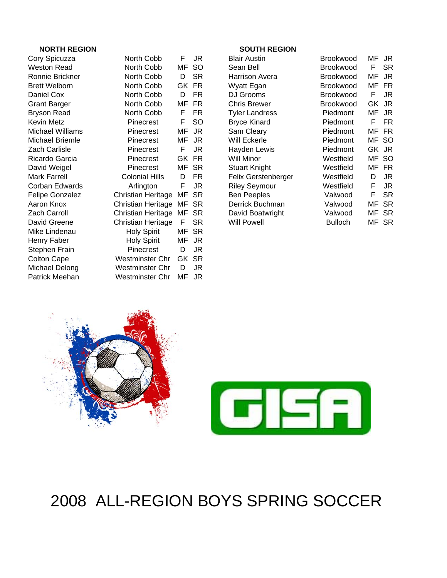### **NORTH REGION SOUTH REGION**

| Cory Spicuzza          | North Cobb                | F  | JR        |
|------------------------|---------------------------|----|-----------|
| Weston Read            | North Cobb                | MF | SO        |
| Ronnie Brickner        | North Cobb                | D  | SR        |
| <b>Brett Welborn</b>   | North Cobb                | GK | FR        |
| Daniel Cox             | North Cobb                | D  | FR        |
| <b>Grant Barger</b>    | North Cobb                | ΜF | FR        |
| <b>Bryson Read</b>     | North Cobb                | F  | FR        |
| Kevin Metz             | Pinecrest                 | F  | SO        |
| Michael Williams       | Pinecrest                 | MF | JR        |
| Michael Briemle        | Pinecrest                 | МF | <b>JR</b> |
| Zach Carlisle          | Pinecrest                 | F  | JR        |
| Ricardo Garcia         | Pinecrest                 | GK | FR        |
| David Weigel           | Pinecrest                 | MF | SR        |
| <b>Mark Farrell</b>    | <b>Colonial Hills</b>     | D  | FR        |
| Corban Edwards         | Arlington                 | F  | JR        |
| <b>Felipe Gonzalez</b> | Christian Heritage        | MF | <b>SR</b> |
| Aaron Knox             | Christian Heritage        | ΜF | <b>SR</b> |
| Zach Carroll           | <b>Christian Heritage</b> | ΜF | <b>SR</b> |
| David Greene           | Christian Heritage        | F  | SR        |
| Mike Lindenau          | <b>Holy Spirit</b>        | МF | <b>SR</b> |
| Henry Faber            | <b>Holy Spirit</b>        | MF | <b>JR</b> |
| Stephen Frain          | Pinecrest                 | D  | JR        |
| <b>Colton Cape</b>     | Westminster Chr           | GK | <b>SR</b> |
| Michael Delong         | Westminster Chr           | D  | JR        |
| Patrick Meehan         | Westminster Chr           | ΜF | JR        |

| North Cobb            | F  | JR        |
|-----------------------|----|-----------|
| North Cobb            | MF | SO        |
| North Cobb            | D  | SR        |
| North Cobb            | GK | FR        |
| North Cobb            | D  | FR        |
| North Cobb            | MF | FR        |
| North Cobb            | F  | FR        |
| Pinecrest             | F  | SO        |
| Pinecrest             | MF | <b>JR</b> |
| Pinecrest             | MF | JR        |
| Pinecrest             | F  | JR        |
| Pinecrest             | GK | FR        |
| Pinecrest             | MF | SR        |
| <b>Colonial Hills</b> | D  | FR        |
| Arlington             | F  | <b>JR</b> |
| Christian Heritage    | MF | SR        |
| Christian Heritage    | MF | SR        |
| Christian Heritage    | MF | SR        |
| Christian Heritage    | F  | <b>SR</b> |
| <b>Holy Spirit</b>    | MF | SR        |
| <b>Holy Spirit</b>    | MF | JR        |
| Pinecrest             | D  | JR        |
| Westminster Chr       | GK | SR        |
| Westminster Chr       | D  | JR        |
| Westminster Chr       | MF | JR        |

| Cory Spicuzza          | North Cobb                | F  | JR        | <b>Blair Austin</b>   | <b>Brookwood</b> | MF | JR.       |
|------------------------|---------------------------|----|-----------|-----------------------|------------------|----|-----------|
| Weston Read            | North Cobb                | MF | -SO       | Sean Bell             | <b>Brookwood</b> | F. | <b>SR</b> |
| Ronnie Brickner        | North Cobb                | D  | <b>SR</b> | <b>Harrison Avera</b> | <b>Brookwood</b> | MF | JR        |
| <b>Brett Welborn</b>   | North Cobb                |    | GK FR     | Wyatt Egan            | <b>Brookwood</b> | MF | <b>FR</b> |
| Daniel Cox             | North Cobb                | D  | FR.       | DJ Grooms             | <b>Brookwood</b> | F  | JR        |
| <b>Grant Barger</b>    | North Cobb                | MF | <b>FR</b> | <b>Chris Brewer</b>   | <b>Brookwood</b> | GK | JR        |
| <b>Bryson Read</b>     | North Cobb                | F  | <b>FR</b> | <b>Tyler Landress</b> | Piedmont         | MF | JR        |
| Kevin Metz             | Pinecrest                 | F  | <b>SO</b> | <b>Bryce Kinard</b>   | <b>Piedmont</b>  | F. | <b>FR</b> |
| Michael Williams       | Pinecrest                 | MF | JR        | Sam Cleary            | <b>Piedmont</b>  | MF | FR        |
| Michael Briemle        | Pinecrest                 | ΜF | JR        | Will Eckerle          | <b>Piedmont</b>  | MF | -SO       |
| Zach Carlisle          | Pinecrest                 | F  | JR        | Hayden Lewis          | <b>Piedmont</b>  |    | GK JR     |
| Ricardo Garcia         | <b>Pinecrest</b>          |    | GK FR     | <b>Will Minor</b>     | Westfield        | MF | -SO       |
| David Weigel           | <b>Pinecrest</b>          | MF | -SR       | <b>Stuart Knight</b>  | Westfield        | ΜF | <b>FR</b> |
| Mark Farrell           | Colonial Hills            | D  | FR.       | Felix Gerstenberger   | Westfield        | D  | JR        |
| Corban Edwards         | Arlington                 | F  | JR        | <b>Riley Seymour</b>  | Westfield        | F  | JR.       |
| <b>Felipe Gonzalez</b> | Christian Heritage        | МF | <b>SR</b> | <b>Ben Peeples</b>    | Valwood          | F  | <b>SR</b> |
| Aaron Knox             | <b>Christian Heritage</b> | MF | <b>SR</b> | Derrick Buchman       | Valwood          | MF | <b>SR</b> |
| Zach Carroll           | Christian Heritage        | МF | <b>SR</b> | David Boatwright      | Valwood          | MF | -SR       |
| David Greene           | Christian Heritage        | F  | <b>SR</b> | Will Powell           | <b>Bulloch</b>   | ΜF | -SR       |
|                        |                           |    |           |                       |                  |    |           |





# 2008 ALL-REGION BOYS SPRING SOCCER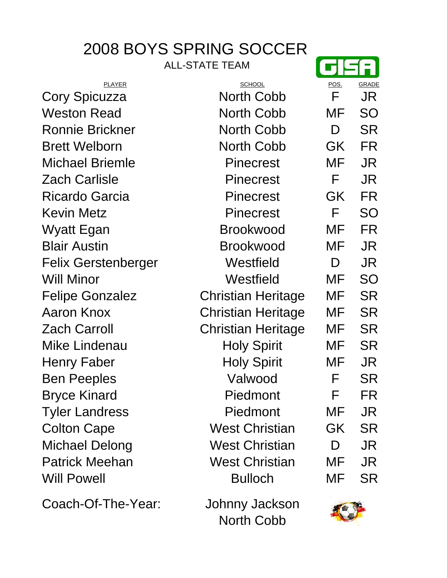# 2008 BOYS SPRING SOCCER

ALL-STATE TEAM

| <b>PLAYER</b>          | <b>SCHOOL</b>             | POS.              | GRADE     |
|------------------------|---------------------------|-------------------|-----------|
| Cory Spicuzza          | <b>North Cobb</b>         | F                 | JR        |
| Weston Read            | North Cobb                | MF                | SO        |
| <b>Ronnie Brickner</b> | <b>North Cobb</b>         | D                 | <b>SR</b> |
| <b>Brett Welborn</b>   | <b>North Cobb</b>         | GK                | <b>FR</b> |
| <b>Michael Briemle</b> | <b>Pinecrest</b>          | MF                | JR        |
| <b>Zach Carlisle</b>   | <b>Pinecrest</b>          | F                 | JR        |
| <b>Ricardo Garcia</b>  | <b>Pinecrest</b>          | GK                | <b>FR</b> |
| <b>Kevin Metz</b>      | <b>Pinecrest</b>          | F                 | <b>SO</b> |
| Wyatt Egan             | <b>Brookwood</b>          | MF                | <b>FR</b> |
| <b>Blair Austin</b>    | <b>Brookwood</b>          | MF                | <b>JR</b> |
| Felix Gerstenberger    | Westfield                 | D                 | JR        |
| <b>Will Minor</b>      | Westfield                 | MF                | <b>SO</b> |
| <b>Felipe Gonzalez</b> | <b>Christian Heritage</b> | MF                | <b>SR</b> |
| <b>Aaron Knox</b>      | <b>Christian Heritage</b> | MF                | <b>SR</b> |
| <b>Zach Carroll</b>    | <b>Christian Heritage</b> | MF                | <b>SR</b> |
| Mike Lindenau          | <b>Holy Spirit</b>        | MF                | <b>SR</b> |
| Henry Faber            | <b>Holy Spirit</b>        | MF                | JR        |
| <b>Ben Peeples</b>     | Valwood                   | F                 | <b>SR</b> |
| <b>Bryce Kinard</b>    | Piedmont                  | F                 | FR        |
| <b>Tyler Landress</b>  | Piedmont                  | MF                | JR        |
| <b>Colton Cape</b>     | <b>West Christian</b>     | GK                | <b>SR</b> |
| Michael Delong         | <b>West Christian</b>     | D                 | JR        |
| <b>Patrick Meehan</b>  | <b>West Christian</b>     | MF                | JR        |
| <b>Will Powell</b>     | <b>Bulloch</b>            | MF                | <b>SR</b> |
| Coach-Of-The-Year:     | Johnny Jackson            | <b>STATISTICS</b> |           |

North Cobb